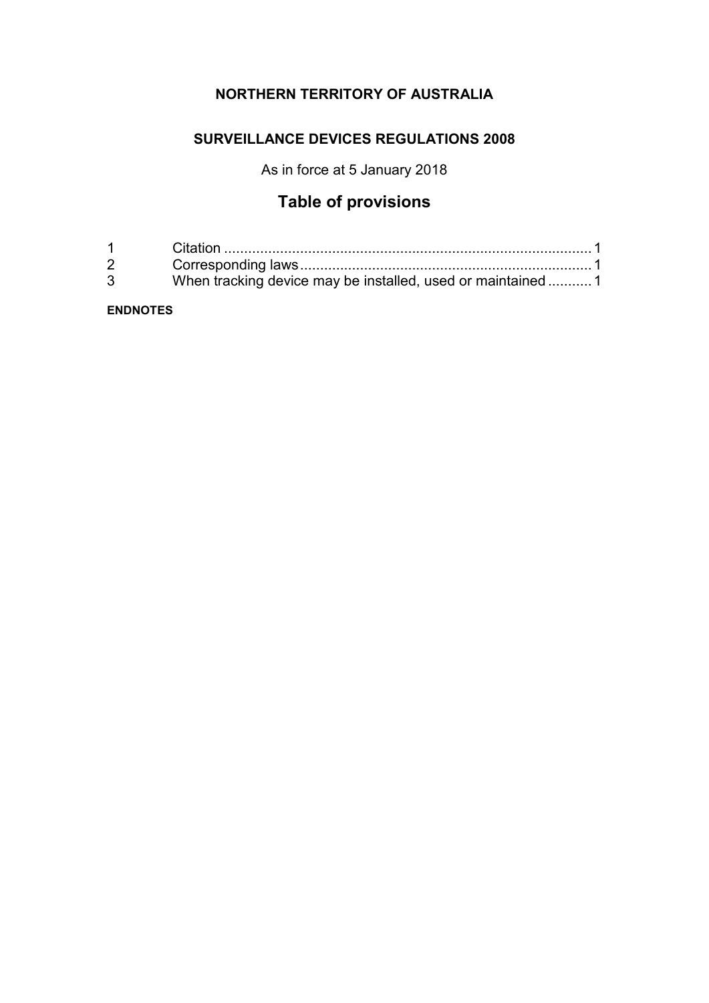# **NORTHERN TERRITORY OF AUSTRALIA**

# **SURVEILLANCE DEVICES REGULATIONS 2008**

As in force at 5 January 2018

# **Table of provisions**

| $1 \quad \Box$ |                                                              |
|----------------|--------------------------------------------------------------|
| $2^{\circ}$    |                                                              |
| $\mathbf{3}$   | When tracking device may be installed, used or maintained  1 |

## **ENDNOTES**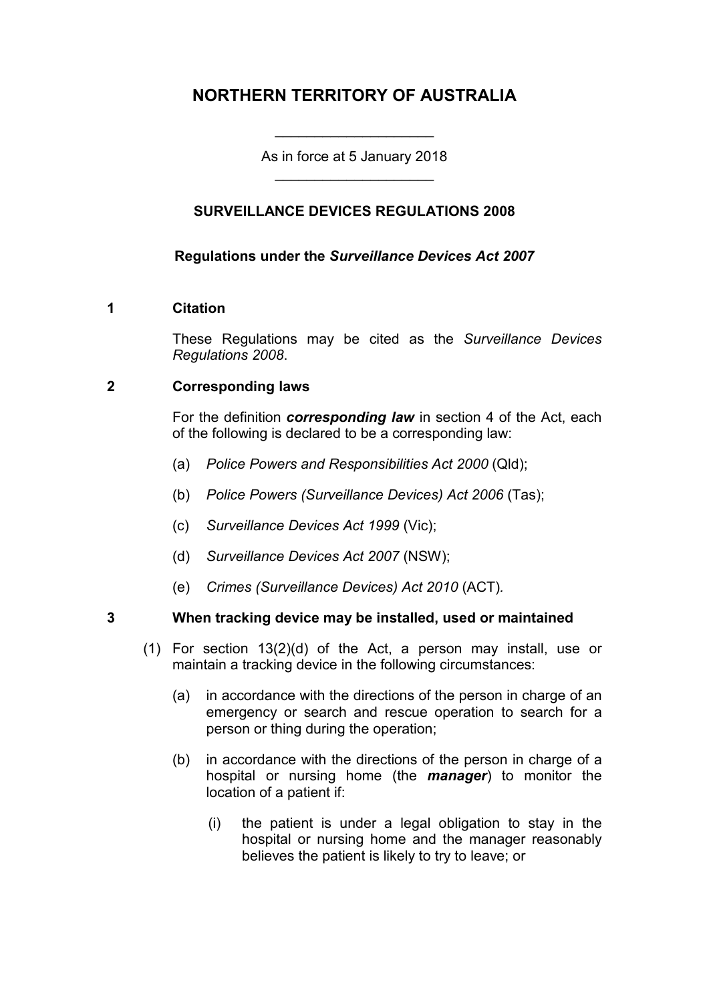# **NORTHERN TERRITORY OF AUSTRALIA**

As in force at 5 January 2018 \_\_\_\_\_\_\_\_\_\_\_\_\_\_\_\_\_\_\_\_

\_\_\_\_\_\_\_\_\_\_\_\_\_\_\_\_\_\_\_\_

# **SURVEILLANCE DEVICES REGULATIONS 2008**

# **Regulations under the** *Surveillance Devices Act 2007*

### **1 Citation**

These Regulations may be cited as the *Surveillance Devices Regulations 2008*.

# **2 Corresponding laws**

For the definition *corresponding law* in section 4 of the Act, each of the following is declared to be a corresponding law:

- (a) *Police Powers and Responsibilities Act 2000* (Qld);
- (b) *Police Powers (Surveillance Devices) Act 2006* (Tas);
- (c) *Surveillance Devices Act 1999* (Vic);
- (d) *Surveillance Devices Act 2007* (NSW);
- (e) *Crimes (Surveillance Devices) Act 2010* (ACT)*.*

### **3 When tracking device may be installed, used or maintained**

- (1) For section 13(2)(d) of the Act, a person may install, use or maintain a tracking device in the following circumstances:
	- (a) in accordance with the directions of the person in charge of an emergency or search and rescue operation to search for a person or thing during the operation;
	- (b) in accordance with the directions of the person in charge of a hospital or nursing home (the *manager*) to monitor the location of a patient if:
		- (i) the patient is under a legal obligation to stay in the hospital or nursing home and the manager reasonably believes the patient is likely to try to leave; or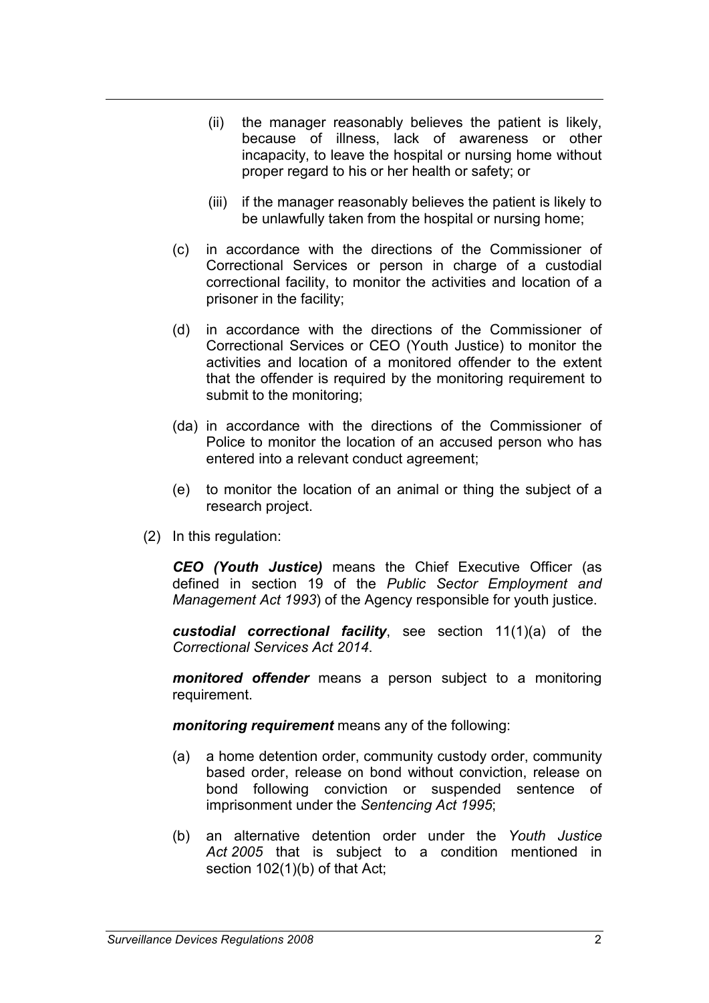- (ii) the manager reasonably believes the patient is likely, because of illness, lack of awareness or other incapacity, to leave the hospital or nursing home without proper regard to his or her health or safety; or
- (iii) if the manager reasonably believes the patient is likely to be unlawfully taken from the hospital or nursing home;
- (c) in accordance with the directions of the Commissioner of Correctional Services or person in charge of a custodial correctional facility, to monitor the activities and location of a prisoner in the facility;
- (d) in accordance with the directions of the Commissioner of Correctional Services or CEO (Youth Justice) to monitor the activities and location of a monitored offender to the extent that the offender is required by the monitoring requirement to submit to the monitoring;
- (da) in accordance with the directions of the Commissioner of Police to monitor the location of an accused person who has entered into a relevant conduct agreement;
- (e) to monitor the location of an animal or thing the subject of a research project.
- (2) In this regulation:

*CEO (Youth Justice)* means the Chief Executive Officer (as defined in section 19 of the *Public Sector Employment and Management Act 1993*) of the Agency responsible for youth justice.

*custodial correctional facility*, see section 11(1)(a) of the *Correctional Services Act 2014*.

*monitored offender* means a person subject to a monitoring requirement.

*monitoring requirement* means any of the following:

- (a) a home detention order, community custody order, community based order, release on bond without conviction, release on bond following conviction or suspended sentence of imprisonment under the *Sentencing Act 1995*;
- (b) an alternative detention order under the *Youth Justice Act 2005* that is subject to a condition mentioned in section 102(1)(b) of that Act;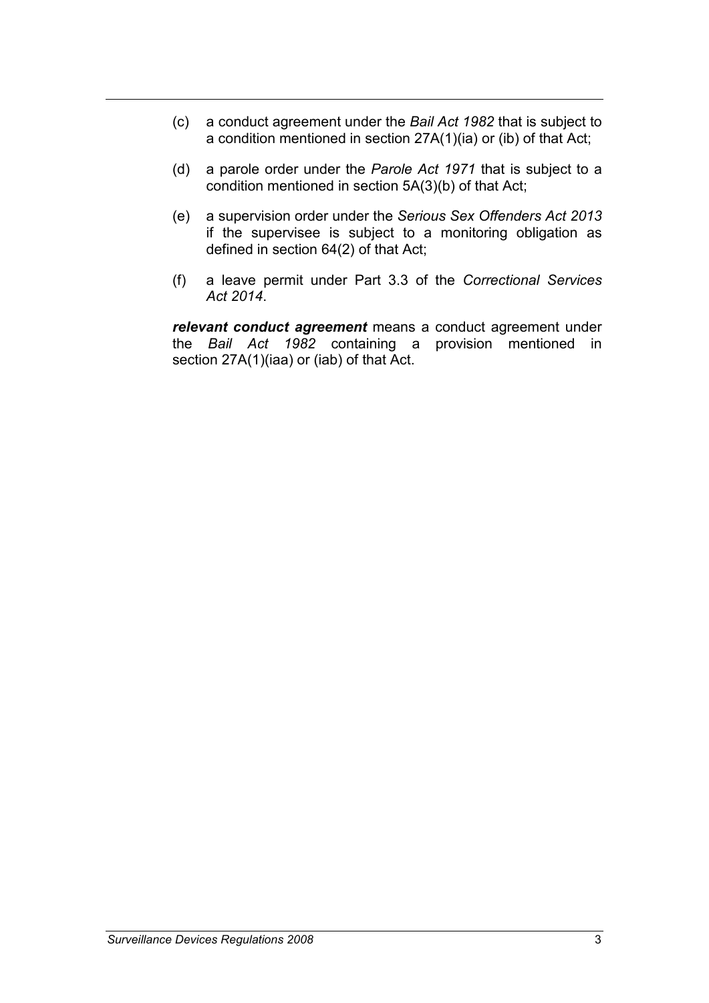- (c) a conduct agreement under the *Bail Act 1982* that is subject to a condition mentioned in section 27A(1)(ia) or (ib) of that Act;
- (d) a parole order under the *Parole Act 1971* that is subject to a condition mentioned in section 5A(3)(b) of that Act;
- (e) a supervision order under the *Serious Sex Offenders Act 2013* if the supervisee is subject to a monitoring obligation as defined in section 64(2) of that Act;
- (f) a leave permit under Part 3.3 of the *Correctional Services Act 2014*.

*relevant conduct agreement* means a conduct agreement under the *Bail Act 1982* containing a provision mentioned in section 27A(1)(iaa) or (iab) of that Act.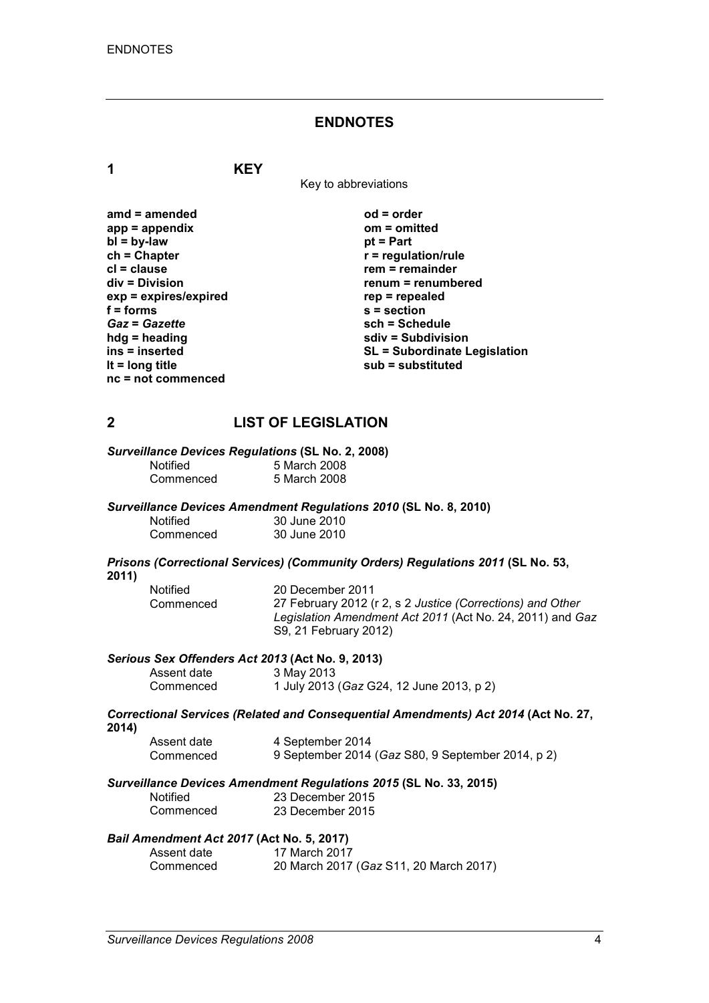### **ENDNOTES**

**1 KEY**

Key to abbreviations

| amd = amended           |
|-------------------------|
| $app = appendix$        |
| $bl = by-law$           |
| $ch = Chapter$          |
| cl = clause             |
| div = Division          |
| $exp = expires/expired$ |
| $f = forms$             |
| <b>Gaz = Gazette</b>    |
| hdg = heading           |
| ins = inserted          |
| It = $long$ title       |
| nc = not commenced      |

**amd = amended od = order app = appendix om = omitted** *pt* **= Part**  $r$  = regulation/rule **rem = remainder div = Division renum = renumbered exp = expires/expired rep = repealed f = forms s = section** *Gaz* **=** *Gazette* **sch = Schedule hdg = heading sdiv = Subdivision ins = inserted SL = Subordinate Legislation lt = long title sub = substituted**

### **2 LIST OF LEGISLATION**

# *Surveillance Devices Regulations* **(SL No. 2, 2008)**

| <b>Notified</b> | 5 March 2008 |
|-----------------|--------------|
| Commenced       | 5 March 2008 |

### *Surveillance Devices Amendment Regulations 2010* **(SL No. 8, 2010)**

| <b>Notified</b> | 30 June 2010 |
|-----------------|--------------|
| Commenced       | 30 June 2010 |

#### *Prisons (Correctional Services) (Community Orders) Regulations 2011* **(SL No. 53, 2011)**

| <b>Notified</b> | 20 December 2011                                           |
|-----------------|------------------------------------------------------------|
| Commenced       | 27 February 2012 (r 2, s 2 Justice (Corrections) and Other |
|                 | Legislation Amendment Act 2011 (Act No. 24, 2011) and Gaz  |
|                 | S9, 21 February 2012)                                      |

### *Serious Sex Offenders Act 2013* **(Act No. 9, 2013)**

| Assent date | 3 May 2013                               |
|-------------|------------------------------------------|
| Commenced   | 1 July 2013 (Gaz G24, 12 June 2013, p 2) |

### *Correctional Services (Related and Consequential Amendments) Act 2014* **(Act No. 27, 2014)**

| Assent date | 4 September 2014                                  |
|-------------|---------------------------------------------------|
| Commenced   | 9 September 2014 (Gaz S80, 9 September 2014, p 2) |

### *Surveillance Devices Amendment Regulations 2015* **(SL No. 33, 2015)**

| Notified  |  |
|-----------|--|
| Commenced |  |

| ance Devices Amenament regulations E |                  |
|--------------------------------------|------------------|
| Notified                             | 23 December 2015 |
| Commenced                            | 23 December 2015 |

#### *Bail Amendment Act 2017* **(Act No. 5, 2017)**

| Assent date | 17 March 2017                          |
|-------------|----------------------------------------|
| Commenced   | 20 March 2017 (Gaz S11, 20 March 2017) |